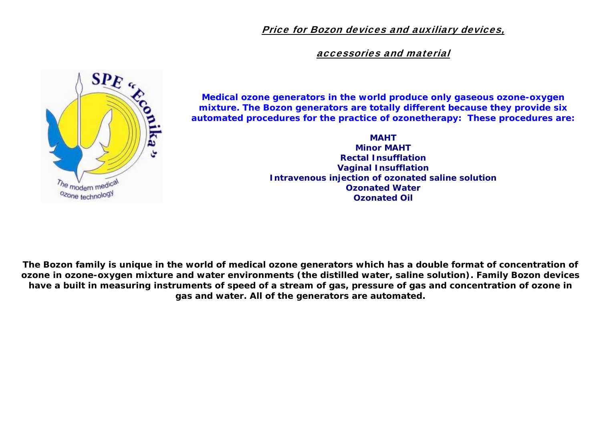Price for Bozon devices and auxiliary devices,

accessories and material



*Medical ozone generators in the world produce only gaseous ozone-oxygen mixture. The Bozon generators are totally different because they provide six automated procedures for the practice of ozonetherapy: These procedures are:* 

> **MAHT Minor MAHT Rectal Insufflation Vaginal Insufflation Intravenous injection of ozonated saline solution Ozonated Water Ozonated Oil**

**The Bozon family is unique in the world of medical ozone generators which has a double format of concentration of ozone in ozone-oxygen mixture and water environments (the distilled water, saline solution). Family Bozon devices have a built in measuring instruments of speed of a stream of gas, pressure of gas and concentration of ozone in gas and water. All of the generators are automated.**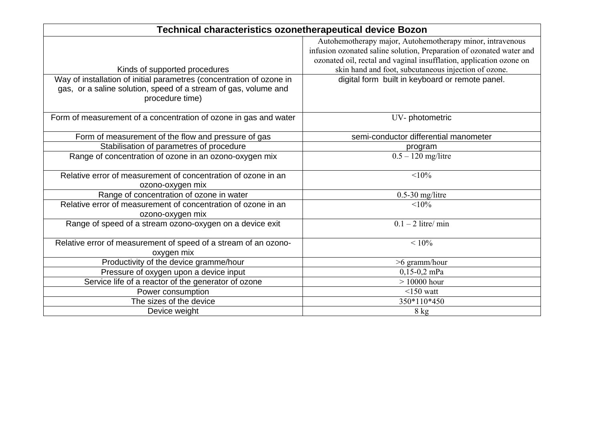| <b>Technical characteristics ozonetherapeutical device Bozon</b>                   |                                                                      |  |  |  |  |
|------------------------------------------------------------------------------------|----------------------------------------------------------------------|--|--|--|--|
|                                                                                    | Autohemotherapy major, Autohemotherapy minor, intravenous            |  |  |  |  |
|                                                                                    | infusion ozonated saline solution, Preparation of ozonated water and |  |  |  |  |
|                                                                                    | ozonated oil, rectal and vaginal insufflation, application ozone on  |  |  |  |  |
| Kinds of supported procedures                                                      | skin hand and foot, subcutaneous injection of ozone.                 |  |  |  |  |
| Way of installation of initial parametres (concentration of ozone in               | digital form built in keyboard or remote panel.                      |  |  |  |  |
| gas, or a saline solution, speed of a stream of gas, volume and<br>procedure time) |                                                                      |  |  |  |  |
| Form of measurement of a concentration of ozone in gas and water                   | UV-photometric                                                       |  |  |  |  |
| Form of measurement of the flow and pressure of gas                                | semi-conductor differential manometer                                |  |  |  |  |
| Stabilisation of parametres of procedure                                           | program                                                              |  |  |  |  |
| Range of concentration of ozone in an ozono-oxygen mix                             | $0.5 - 120$ mg/litre                                                 |  |  |  |  |
| Relative error of measurement of concentration of ozone in an                      | $< 10\%$                                                             |  |  |  |  |
| ozono-oxygen mix                                                                   |                                                                      |  |  |  |  |
| Range of concentration of ozone in water                                           | $0.5-30$ mg/litre                                                    |  |  |  |  |
| Relative error of measurement of concentration of ozone in an                      | $< 10\%$                                                             |  |  |  |  |
| ozono-oxygen mix                                                                   |                                                                      |  |  |  |  |
| Range of speed of a stream ozono-oxygen on a device exit                           | $0.1 - 2$ litre/ min                                                 |  |  |  |  |
| Relative error of measurement of speed of a stream of an ozono-<br>oxygen mix      | $< 10\%$                                                             |  |  |  |  |
| Productivity of the device gramme/hour                                             | >6 gramm/hour                                                        |  |  |  |  |
| Pressure of oxygen upon a device input                                             | $0,15-0,2$ mPa                                                       |  |  |  |  |
| Service life of a reactor of the generator of ozone                                | $> 10000$ hour                                                       |  |  |  |  |
| Power consumption                                                                  | $<$ 150 watt                                                         |  |  |  |  |
| The sizes of the device                                                            | 350*110*450                                                          |  |  |  |  |
| Device weight                                                                      | 8 kg                                                                 |  |  |  |  |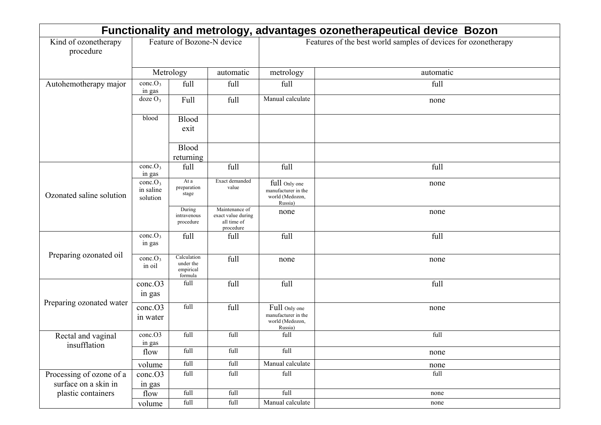| Functionality and metrology, advantages ozonetherapeutical device Bozon |                                              |                                                  |                                                                  |                                                                    |           |  |
|-------------------------------------------------------------------------|----------------------------------------------|--------------------------------------------------|------------------------------------------------------------------|--------------------------------------------------------------------|-----------|--|
| Kind of ozonetherapy<br>procedure                                       | Feature of Bozone-N device                   |                                                  | Features of the best world samples of devices for ozonetherapy   |                                                                    |           |  |
|                                                                         | Metrology                                    |                                                  | automatic                                                        | metrology                                                          | automatic |  |
| Autohemotherapy major                                                   | conc.O <sub>3</sub><br>in gas                | full                                             | full                                                             | full                                                               | full      |  |
|                                                                         | $\text{doze}\,O_3$                           | Full                                             | full                                                             | Manual calculate                                                   | none      |  |
|                                                                         | blood                                        | <b>Blood</b><br>exit                             |                                                                  |                                                                    |           |  |
|                                                                         |                                              | <b>Blood</b><br>returning                        |                                                                  |                                                                    |           |  |
|                                                                         | conc.O <sub>3</sub><br>in gas                | full                                             | full                                                             | full                                                               | full      |  |
| Ozonated saline solution                                                | cone.O <sub>3</sub><br>in saline<br>solution | At a<br>preparation<br>stage                     | Exact demanded<br>value                                          | full Only one<br>manufacturer in the<br>world (Medozon,<br>Russia) | none      |  |
|                                                                         |                                              | During<br>intravenous<br>procedure               | Maintenance of<br>exact value during<br>all time of<br>procedure | none                                                               | none      |  |
|                                                                         | cone.O <sub>3</sub><br>in gas                | full                                             | full                                                             | full                                                               | full      |  |
| Preparing ozonated oil                                                  | cone.O <sub>3</sub><br>in oil                | Calculation<br>under the<br>empirical<br>formula | full                                                             | none                                                               | none      |  |
|                                                                         | conc.O3<br>in gas                            | full                                             | full                                                             | full                                                               | full      |  |
| Preparing ozonated water                                                | conc.O3<br>in water                          | full                                             | full                                                             | Full Only one<br>manufacturer in the<br>world (Medozon,<br>Russia) | none      |  |
| Rectal and vaginal<br>insufflation                                      | conc.O3<br>in gas                            | full                                             | full                                                             | full                                                               | full      |  |
|                                                                         | flow                                         | full                                             | full                                                             | full                                                               | none      |  |
|                                                                         | volume                                       | full                                             | full                                                             | Manual calculate                                                   | none      |  |
| Processing of ozone of a<br>surface on a skin in                        | cone. O3<br>in gas                           | full                                             | full                                                             | full                                                               | full      |  |
| plastic containers                                                      | flow                                         | full                                             | full                                                             | full                                                               | none      |  |
|                                                                         | volume                                       | $\operatorname{full}$                            | full                                                             | Manual calculate                                                   | none      |  |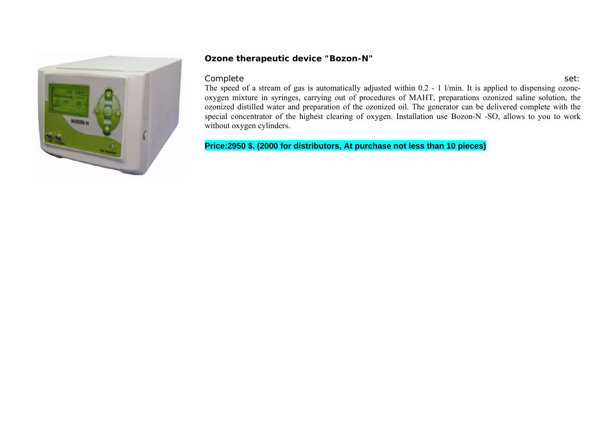

### **Ozone therapeutic device "Bozon-N"**

#### Complete set: when the contract of the complete set: the complete set:

The speed of a stream of gas is automatically adjusted within 0.2 - 1 l/min. It is applied to dispensing ozoneoxygen mixture in syringes, carrying out of procedures of MAHT, preparations ozonized saline solution, the ozonized distilled water and preparation of the ozonized oil. The generator can be delivered complete with the special concentrator of the highest clearing of oxygen. Installation use Bozon-N -SO, allows to you to work without oxygen cylinders.

**Price:2950 \$. (2000 for distributors, At purchase not less than 10 pieces)**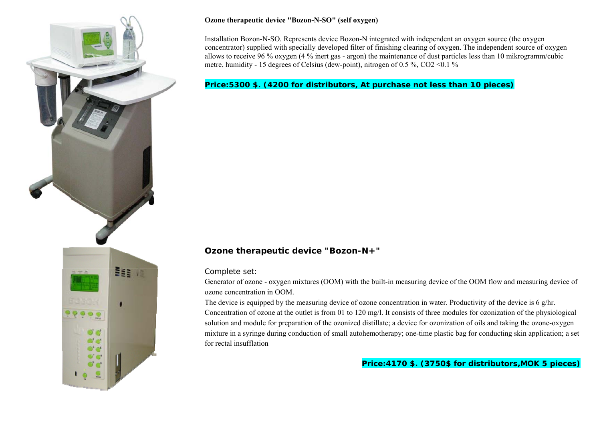

#### **Ozone therapeutic device "Bozon-N-SO" (self oxygen)**

Installation Bozon-N-SO. Represents device Bozon-N integrated with independent an oxygen source (the oxygen concentrator) supplied with specially developed filter of finishing clearing of oxygen. The independent source of oxygen allows to receive 96 % oxygen (4 % inert gas - argon) the maintenance of dust particles less than 10 mikrogramm/cubic metre, humidity - 15 degrees of Celsius (dew-point), nitrogen of 0.5 %, CO2 <0.1 %

### **Price:5300 \$. (4200 for distributors, At purchase not less than 10 pieces)**

## **Ozone therapeutic device "Bozon-N+"**

Complete set:

Generator of ozone - oxygen mixtures (OOM) with the built-in measuring device of the OOM flow and measuring device of ozone concentration in OOM.

The device is equipped by the measuring device of ozone concentration in water. Productivity of the device is 6 g/hr. Concentration of ozone at the outlet is from 01 to 120 mg/l. It consists of three modules for ozonization of the physiological solution and module for preparation of the ozonized distillate; a device for ozonization of oils and taking the ozone-oxygen mixture in a syringe during conduction of small autohemotherapy; one-time plastic bag for conducting skin application; a set for rectal insufflation

**Price:4170 \$. (3750\$ for distributors,MOK 5 pieces)**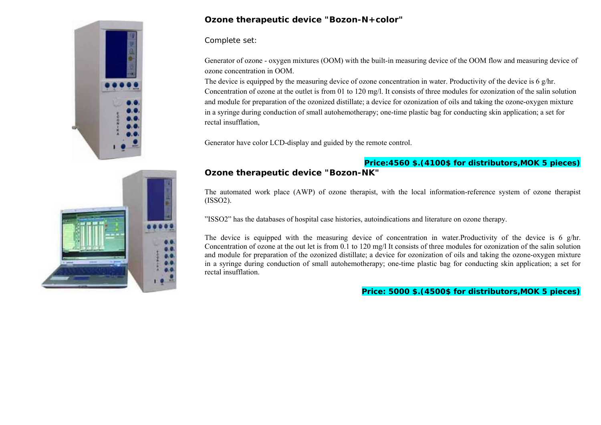

## **Ozone therapeutic device "Bozon-N+color"**

Complete set:

Generator of ozone - oxygen mixtures (OOM) with the built-in measuring device of the OOM flow and measuring device of ozone concentration in OOM.

The device is equipped by the measuring device of ozone concentration in water. Productivity of the device is 6 g/hr. Concentration of ozone at the outlet is from 01 to 120 mg/l. It consists of three modules for ozonization of the salin solution and module for preparation of the ozonized distillate; a device for ozonization of oils and taking the ozone-oxygen mixture in a syringe during conduction of small autohemotherapy; one-time plastic bag for conducting skin application; a set for rectal insufflation,

Generator have color LCD-display and guided by the remote control.

## **Price:4560 \$.(4100\$ for distributors,MOK 5 pieces)**

# **Ozone therapeutic device "Bozon-NK"**

The automated work place (AWP) of ozone therapist, with the local information-reference system of ozone therapist (ISSO2).

"ISSO2" has the databases of hospital case histories, autoindications and literature on ozone therapy.

The device is equipped with the measuring device of concentration in water.Productivity of the device is 6 g/hr. Concentration of ozone at the out let is from 0.1 to 120 mg/l It consists of three modules for ozonization of the salin solution and module for preparation of the ozonized distillate; a device for ozonization of oils and taking the ozone-oxygen mixture in a syringe during conduction of small autohemotherapy; one-time plastic bag for conducting skin application; a set for rectal insufflation.

**Price: 5000 \$.(4500\$ for distributors,MOK 5 pieces)**

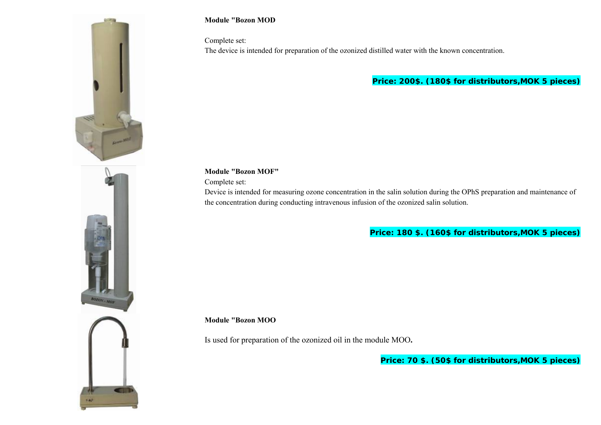

#### **Module "Bozon MOD**

Complete set:

The device is intended for preparation of the ozonized distilled water with the known concentration.

**Price: 200\$. (180\$ for distributors,MOK 5 pieces)**

**Module "Bozon MOF"**

Complete set:

Device is intended for measuring ozone concentration in the salin solution during the OPhS preparation and maintenance of the concentration during conducting intravenous infusion of the ozonized salin solution.

**Price: 180 \$. (160\$ for distributors,MOK 5 pieces)**

**Module "Bozon MOO**

Is used for preparation of the ozonized oil in the module MOO**.** 

**Price: 70 \$. (50\$ for distributors,MOK 5 pieces)**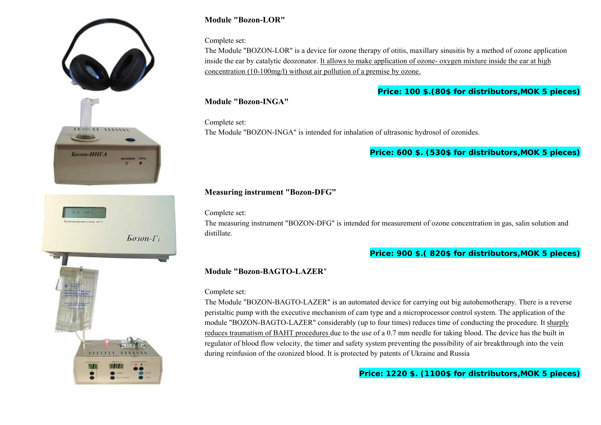



## **Module "Bozon-LOR"**

#### Complete set:

The Module "BOZON-LOR" is a device for ozone therapy of otitis, maxillary sinusitis by a method of ozone application inside the ear by catalytic deozonator. It allows to make application of ozone- oxygen mixture inside the ear at high concentration (10-100mg/l) without air pollution of a premise by ozone.

### **Price: 100 \$.(80\$ for distributors,MOK 5 pieces)**

**Module "Bozon-INGA"**

Complete set: The Module "BOZON-INGA" is intended for inhalation of ultrasonic hydrosol of ozonides.

### **Price: 600 \$. (530\$ for distributors,MOK 5 pieces)**

## **Measuring instrument "Bozon-DFG"**

Complete set:

The measuring instrument "BOZON-DFG" is intended for measurement of ozone concentration in gas, salin solution and distillate.

**Price: 900 \$.( 820\$ for distributors,MOK 5 pieces)**

### **Module "Bozon-BAGTO-LAZER**"

#### Complete set:

The Module "BOZON-BAGTO-LAZER" is an automated device for carrying out big autohemotherapy. There is a reverse peristaltic pump with the executive mechanism of cam type and a microprocessor control system. The application of the module "BOZON-BAGTO-LAZER" considerably (up to four times) reduces time of conducting the procedure. It sharply reduces traumatism of BAHT procedures due to the use of a 0.7 mm needle for taking blood. The device has the built in regulator of blood flow velocity, the timer and safety system preventing the possibility of air breakthrough into the vein during reinfusion of the ozonized blood. It is protected by patents of Ukraine and Russia

## **Price: 1220 \$. (1100\$ for distributors,MOK 5 pieces)**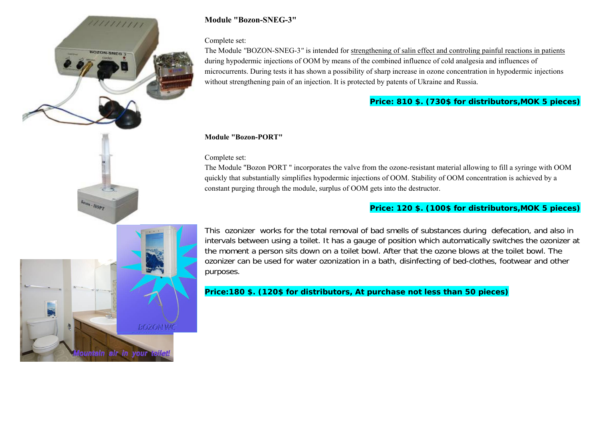

## **Module "Bozon-SNEG-3"**

#### Complete set:

The Module *"*BOZON-SNEG-3*"* is intended for strengthening of salin effect and controling painful reactions in patients during hypodermic injections of OOM by means of the combined influence of cold analgesia and influences of microcurrents. During tests it has shown a possibility of sharp increase in ozone concentration in hypodermic injections without strengthening pain of an injection. It is protected by patents of Ukraine and Russia.

## **Price: 810 \$. (730\$ for distributors,MOK 5 pieces)**

#### **Module "Bozon-PORT"**

Complete set:

The Module "Bozon PORT " incorporates the valve from the ozone-resistant material allowing to fill a syringe with OOM quickly that substantially simplifies hypodermic injections of OOM. Stability of OOM concentration is achieved by a constant purging through the module, surplus of OOM gets into the destructor.

## **Price: 120 \$. (100\$ for distributors,MOK 5 pieces)**



non-HOPT

This ozonizer works for the total removal of bad smells of substances during defecation, and also in intervals between using a toilet. It has a gauge of position which automatically switches the ozonizer at the moment a person sits down on a toilet bowl. After that the ozone blows at the toilet bowl. The ozonizer can be used for water ozonization in a bath, disinfecting of bed-clothes, footwear and other purposes.

**Price:180 \$. (120\$ for distributors, At purchase not less than 50 pieces)**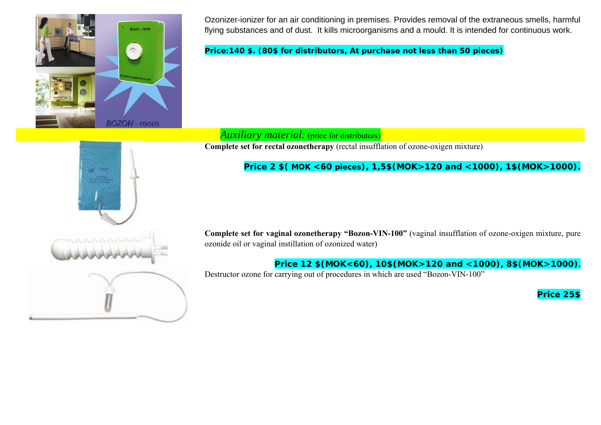

Ozonizer-ionizer for an air conditioning in premises. Provides removal of the extraneous smells, h armful flying substances and of dust. It kills microorganisms and a mould. It is intended for continuous work.

**Price:140 \$. (80\$ for distributors, At purchase not less than 50 pieces)** 

# *Auxiliary material:* (price for distributors)

**Complete set for rectal ozonetherapy** (rectal insufflation of ozone-oxigen mixture)

# **Price 2 \$( MOK <60 pieces), 1,5\$(MOK>120 and <1000), 1\$(MOK>1000).**

**Complete set for vaginal ozonetherapy "Bozon-VIN-100"** (vaginal insufflation of ozone-oxigen mixture, pure ozonide oil or vaginal instillation of ozonized water)

**Price 12 \$(MOK<60), 10\$(MOK>120 and <1000), 8\$(MOK>1000).**

Destructor ozone for carrying out of procedures in which are used "Bozon-VIN-100"

**Price 25\$**

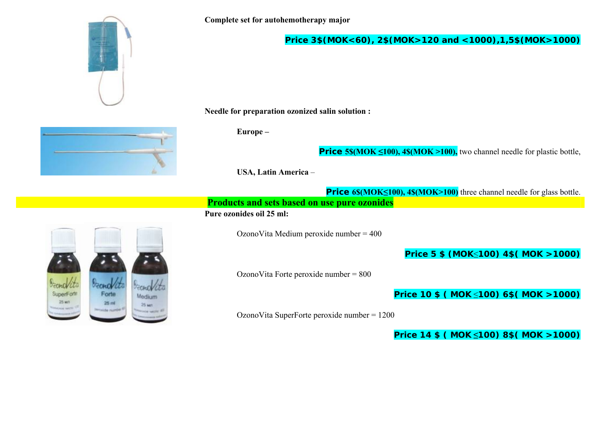

**Price 3\$(MOK<60), 2\$(MOK>120 and <1000),1,5\$(MOK>1000)**

**Needle for preparation ozonized salin solution :** 

**Europe –** 

**Price 5\$(MOK ≤100), 4\$(MOK >100),** two channel needle for plastic bottle,

**USA, Latin America** –

**Price 6\$(MOK≤100), 4\$(MOK>100)** three channel needle for glass bottle. **Products and sets based on use pure ozonides**

#### **Pure ozonides oil 25 ml:**

OzonoVita Medium peroxide number = 400

**Price 5 \$ (MOK** ≤**100) 4\$( MOK >1000)** 

OzonoVita Forte peroxide number = 800

**Price 10 \$ ( MOK** ≤**100) 6\$( MOK >1000)** 

OzonoVita SuperForte peroxide number = 1200

**Price 14 \$ ( MOK ≤100) 8\$( MOK >1000)**



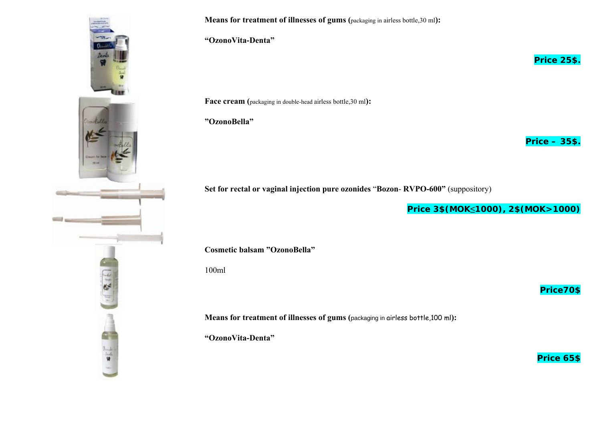

**Means for treatment of illnesses of gums (**packaging in airless bottle,30 ml):

**"OzonoVita-Denta"**

**Face cream (**packaging in double-head airless bottle,30 ml**):**

**"OzonoBella"**

**Price – 35\$.**

**Price 25\$.**

**Set for rectal or vaginal injection pure ozonides** "**Bozon**- **RVPO-600"** (suppository)

**Price 3\$(MOK ≤1000), 2\$(MOK>1000)**

**Cosmetic balsam "OzonoBella"**

100ml

**Means for treatment of illnesses of gums (**packaging in airless bottle,100 ml**):**

**"OzonoVita-Denta"** 

**Price 65\$**

**Price70\$**